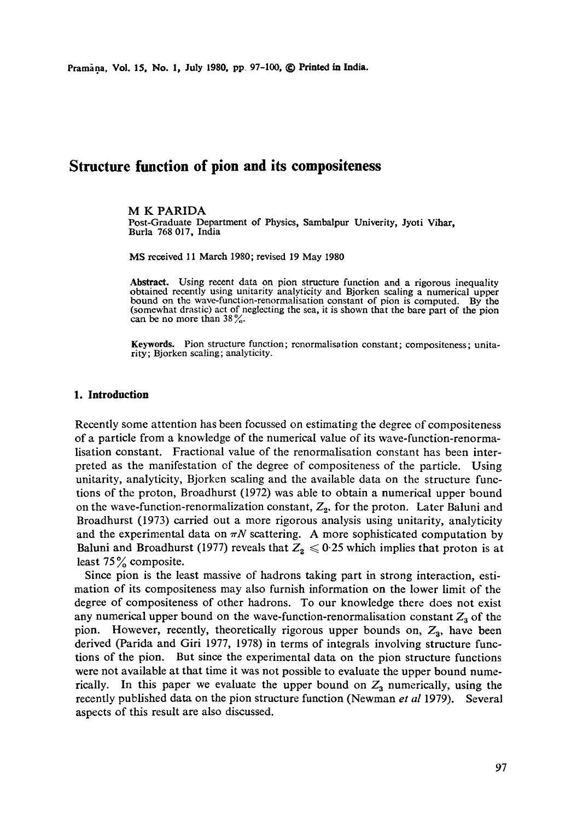Pramana, Vol. 15, No. 1, July 1980, pp 97-100, © Printed in India.

# **Structure function of pion and its compositeness**

#### M K PARIDA

Post-Graduate Department of Physics, Sambalpur Univerity, Jyoti Vihar, Burla 768 017, India

MS received 11 March 1980; revised 19 May 1980

Abstract. Using recent data on pion structure function and a rigorous inequality obtained recently using unitarity analyticity and Bjorken scaling a numerical upper bound on the wave-function-renormalisation constant of pion is computed. By the (somewhat drastic) act of neglecting the sea, it is shown that the bare part of the pion can be no more than  $38\%$ .

**Keywords.** Pion structure function; rcnormalisation constant; compositeness; unitarity; Bjorken scaling; analyticity.

#### **1. Introduction**

Recently some attention has been focussed on estimating the degree of compositeness of a particle from a knowledge of the numerical value of its wave-function-renormalisation constant. Fractional value of the renormalisation constant has been interpreted as the manifestation of the degree of cornpositeness of the particle. Using unitarity, analyticity, Bjorken scaling and the available data on the structure functions of the proton, Broadhurst (1972) was able to obtain a numerical upper bound on the wave-function-renormalization constant,  $Z_2$ , for the proton. Later Baluni and Broadhurst (1973) carried out a more rigorous analysis using unitarity, analyticity and the experimental data on  $\pi N$  scattering. A more sophisticated computation by Baluni and Broadhurst (1977) reveals that  $Z_2 \leq 0.25$  which implies that proton is at least  $75\%$  composite.

Since pion is the least massive of hadrons taking part in strong interaction, estimation of its compositeness may also furnish information on the lower limit of the degree of compositeness of other hadrons. To our knowledge there does not exist any numerical upper bound on the wave-function-renormalisation constant  $Z_3$  of the pion. However, recently, theoretically rigorous upper bounds on,  $Z_3$ , have been derived (Parida and Giri 1977, 1978) in terms of integrals involving structure functions of the pion. But since the experimental data on the pion structure functions were not available at that time it was not possible to evaluate the upper bound numerically. In this paper we evaluate the upper bound on  $Z_3$  numerically, using the recently published data on the pion structure function (Newman *et al* 1979). Several aspects of this result are also discussed.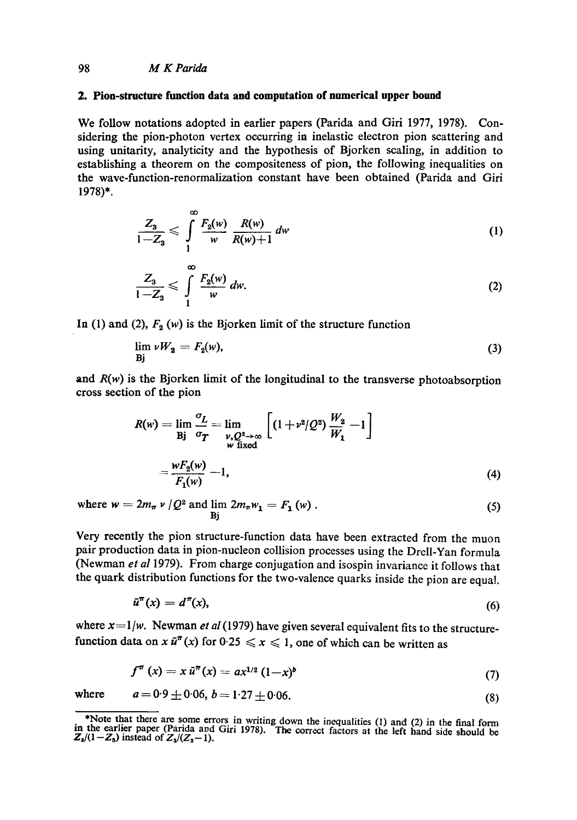#### 98 *M K Parida*

#### **2. Pion-structure function data and computation of numerical upper bound**

We follow notations adopted in earlier papers (Parida and Giri 1977, 1978). Considering the pion-photon vertex occurring in inelastic electron pion scattering and using unitarity, analyticity and the hypothesis of Bjorken scaling, in addition to establishing a theorem on the compositeness of pion, the following inequalities on the wave-function-renormalization constant have been obtained (Parida and Gift 1978)\*.

$$
\frac{Z_3}{1-Z_3} \leqslant \int\limits_{1}^{\infty} \frac{F_2(w)}{w} \frac{R(w)}{R(w)+1} \, dw \tag{1}
$$

$$
\frac{Z_3}{1-Z_3} \leqslant \int\limits_{1}^{\infty} \frac{F_2(w)}{w} \, dw. \tag{2}
$$

In (1) and (2),  $F_2(w)$  is the Bjorken limit of the structure function

$$
\lim_{\text{Bj}} \nu W_2 = F_2(w),\tag{3}
$$

and  $R(w)$  is the Bjorken limit of the longitudinal to the transverse photoabsorption cross section of the pion

$$
R(w) = \lim_{\substack{\mathbf{B}\mid \mathbf{B} \\ \mathbf{B} \\ \mathbf{B} \\ \mathbf{B} \\ \mathbf{B} \\ \mathbf{B} \\ \mathbf{B} \\ \mathbf{C} \\ \mathbf{D} \\ \mathbf{D} \\ \mathbf{D} \\ \mathbf{D} \\ \mathbf{D} \\ \mathbf{D} \\ \mathbf{D} \\ \mathbf{D} \\ \mathbf{D} \\ \mathbf{D} \\ \mathbf{D} \\ \mathbf{D} \\ \mathbf{D} \\ \mathbf{D} \\ \mathbf{D} \\ \mathbf{D} \\ \mathbf{D} \\ \mathbf{D} \\ \mathbf{D} \\ \mathbf{D} \\ \mathbf{D} \\ \mathbf{D} \\ \mathbf{D} \\ \mathbf{D} \\ \mathbf{D} \\ \mathbf{D} \\ \mathbf{D} \\ \mathbf{D} \\ \mathbf{D} \\ \mathbf{D} \\ \mathbf{D} \\ \mathbf{D} \\ \mathbf{D} \\ \mathbf{D} \\ \mathbf{D} \\ \mathbf{D} \\ \mathbf{D} \\ \mathbf{D} \\ \mathbf{D} \\ \mathbf{D} \\ \mathbf{D} \\ \mathbf{D} \\ \mathbf{D} \\ \mathbf{D} \\ \mathbf{D} \\ \mathbf{D} \\ \mathbf{D} \\ \mathbf{D} \\ \mathbf{D} \\ \mathbf{D} \\ \mathbf{D} \\ \mathbf{D} \\ \mathbf{D} \\ \mathbf{D} \\ \mathbf{D} \\ \mathbf{D} \\ \mathbf{D} \\ \mathbf{D} \\ \mathbf{D} \\ \mathbf{D} \\ \mathbf{D} \\ \mathbf{D} \\ \mathbf{D} \\ \mathbf{D} \\ \mathbf{D} \\ \mathbf{D} \\ \mathbf{D} \\ \mathbf{D} \\ \mathbf{D} \\ \mathbf{D} \\ \mathbf{D} \\ \mathbf{D} \\ \mathbf{D} \\ \mathbf{D} \\ \mathbf{D} \\ \mathbf{D} \\ \mathbf{D} \\ \mathbf{D} \\ \mathbf{D} \\ \mathbf{D} \\ \mathbf{D} \\ \mathbf{D} \\ \mathbf{D} \\ \mathbf{D} \\ \mathbf{D} \\ \mathbf{D} \\ \mathbf{D} \\ \mathbf{D} \\ \mathbf{D} \\ \mathbf{D} \\ \mathbf{D} \\ \mathbf{D} \\ \mathbf{D} \\ \mathbf{D} \\ \mathbf{D} \\ \mathbf{D} \\ \mathbf{D} \\ \mathbf{D} \\
$$

where  $w = 2m_{\pi} v / Q^2$  and  $\lim_{\text{Bi}} 2m_{\pi} w_1 = F_1(w)$ . (5)

Very recently the pion structure-function data have been extracted from the muon pair production data in pion-nucleon collision processes using the Drell-Yan formula (Newman *et al* 1979). From charge conjugation and isospin invariance it follows that the quark distribution functions for the two-valence quarks inside the pion are equal.

$$
\tilde{u}^{\pi}(x) = d^{\pi}(x),\tag{6}
$$

where  $x=1/w$ . Newman *et al* (1979) have given several equivalent fits to the structurefunction data on x  $\tilde{u}^{\pi}(x)$  for  $0.25 \le x \le 1$ , one of which can be written as

$$
f^{\pi}(x) = x \, \tilde{u}^{\pi}(x) = a x^{1/2} \, (1-x)^b \tag{7}
$$

where  $a = 0.9 \pm 0.06, b = 1.27 \pm 0.06.$  (8)

<sup>\*</sup>Note that there are some errors in writing down the inequalities (1) and (2) in the final form in the earlier paper (Parida and Girl 1978). The correct factors at the left hand side should be  $Z_3/(1-Z_3)$  instead of  $Z_3/(Z_3-1)$ .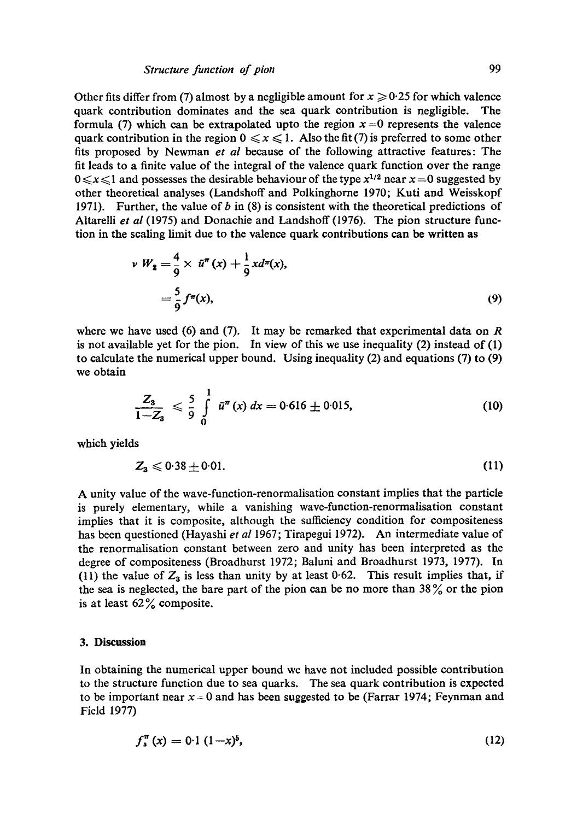# *Structure function of pion* 99

Other fits differ from (7) almost by a negligible amount for  $x \ge 0.25$  for which valence quark contribution dominates and the sea quark contribution is negligible. The formula (7) which can be extrapolated upto the region  $x = 0$  represents the valence quark contribution in the region  $0 \le x \le 1$ . Also the fit (7) is preferred to some other fits proposed by Newman *et al* because of the following attractive features: The fit leads to a finite value of the integral of the valence quark function over the range  $0 \le x \le 1$  and possesses the desirable behaviour of the type  $x^{1/2}$  near  $x = 0$  suggested by other theoretical analyses (Landshoff and Polkinghorne 1970; Kuti and Weisskopf 1971). Further, the value of b in  $(8)$  is consistent with the theoretical predictions of Altarelli *et al* (1975) and Donachie and Landshoff (1976). The pion structure function in the scaling limit due to the valence quark contributions can be written as

$$
\nu W_2 = \frac{4}{9} \times \bar{u}^{\pi}(x) + \frac{1}{9} x d^{\pi}(x),
$$
  
=  $\frac{5}{9} f^{\pi}(x),$  (9)

where we have used (6) and (7). It may be remarked that experimental data on  $R$ is not available yet for the pion. In view of this we use inequality (2) instead of (1) to calculate the numerical upper bound. Using inequality (2) and equations (7) to (9) we obtain

$$
\frac{Z_3}{1-Z_3} \leqslant \frac{5}{9} \int\limits_{0}^{1} \tilde{u}^{\pi}(x) \, dx = 0.616 \pm 0.015, \tag{10}
$$

which yields

$$
Z_3 \leqslant 0.38 \pm 0.01. \tag{11}
$$

A unity value of the wave-function-renormalisation constant implies that the particle is purely elementary, while a vanishing wave-function-renormalisation constant implies that it is composite, although the sufficiency condition for compositeness has been questioned (Hayashi *et al* 1967; Tirapegui 1972). An intermediate value of the renormalisation constant between zero and unity has been interpreted as the degree of compositeness (Broadhurst 1972; Baluni and Broadhurst 1973, 1977). In (11) the value of  $Z_3$  is less than unity by at least 0.62. This result implies that, if the sea is neglected, the bare part of the pion can be no more than  $38\%$  or the pion is at least  $62\%$  composite.

### **3. Discussion**

In obtaining the numerical upper bound we have not included possible contribution to the structure function due to sea quarks. The sea quark contribution is expected to be important near  $x = 0$  and has been suggested to be (Farrar 1974; Feynman and Field 1977)

$$
f_s^{\pi}(x) = 0.1 (1-x)^5, \tag{12}
$$